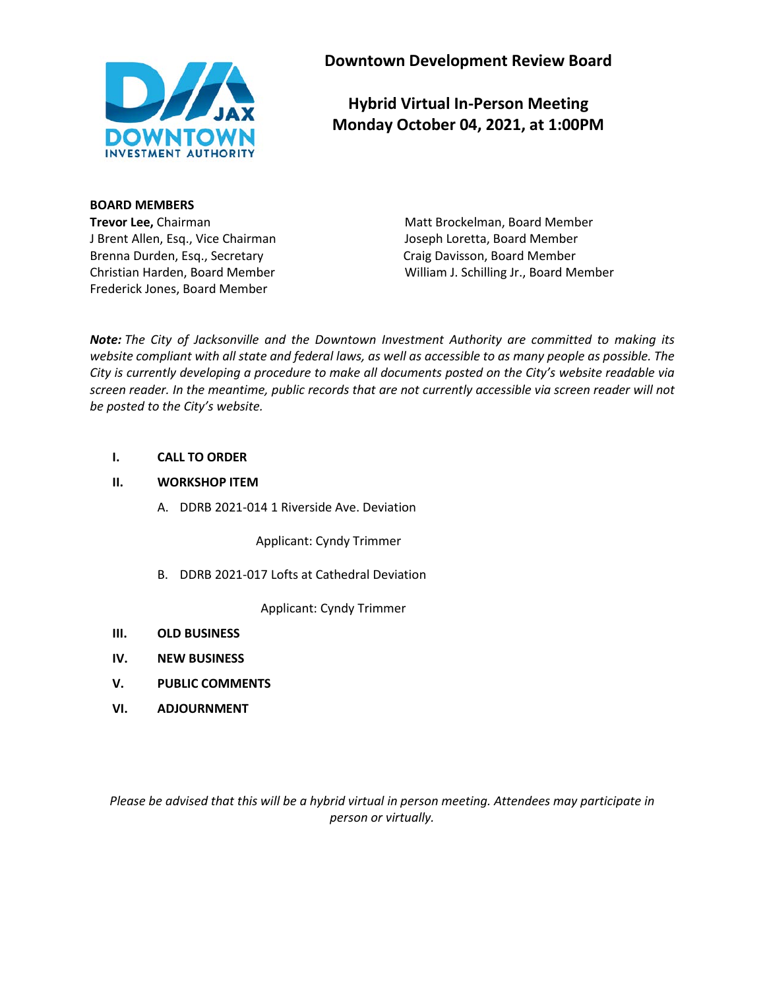

**Downtown Development Review Board**

# **Hybrid Virtual In-Person Meeting Monday October 04, 2021, at 1:00PM**

**BOARD MEMBERS**

J Brent Allen, Esq., Vice Chairman Joseph Loretta, Board Member Brenna Durden, Esq., Secretary Craig Davisson, Board Member Frederick Jones, Board Member

**Trevor Lee, Chairman Matt Brockelman, Board Member** Christian Harden, Board Member William J. Schilling Jr., Board Member

*Note: The City of Jacksonville and the Downtown Investment Authority are committed to making its website compliant with all state and federal laws, as well as accessible to as many people as possible. The City is currently developing a procedure to make all documents posted on the City's website readable via screen reader. In the meantime, public records that are not currently accessible via screen reader will not be posted to the City's website.* 

### **I. CALL TO ORDER**

## **II. WORKSHOP ITEM**

A. DDRB 2021-014 1 Riverside Ave. Deviation

Applicant: Cyndy Trimmer

B. DDRB 2021-017 Lofts at Cathedral Deviation

Applicant: Cyndy Trimmer

- **III. OLD BUSINESS**
- **IV. NEW BUSINESS**
- **V. PUBLIC COMMENTS**
- **VI. ADJOURNMENT**

*Please be advised that this will be a hybrid virtual in person meeting. Attendees may participate in person or virtually.*